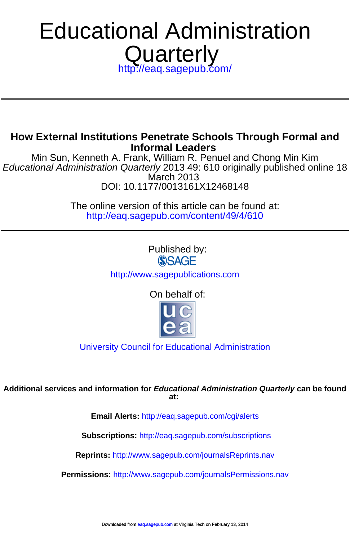# **Quarterly** Educational Administration

<http://eaq.sagepub.com/>

**[Informal Leaders](http://www.ucea.org) How External Institutions Penetrate Schools Through Formal and**

DOI: 10.1177/0013161X12468148 March 2013 Educational Administration Quarterly 2013 49: 610 originally published online 18 Min Sun, Kenneth A. Frank, William R. Penuel and Chong Min Kim

> <http://eaq.sagepub.com/content/49/4/610> The online version of this article can be found at:

> > Published by:<br>
> > SAGE

<http://www.sagepublications.com>

On behalf of:



[University Council for Educational Administration](http://www.ucea.org)

**at: Additional services and information for [Educational Administration Quarterly](http://www.sagepub.com/journalsPermissions.nav) can be found**

**Email Alerts:** <http://eaq.sagepub.com/cgi/alerts>

**Subscriptions:** <http://eaq.sagepub.com/subscriptions>

**Reprints:** <http://www.sagepub.com/journalsReprints.nav>

**Permissions:** <http://www.sagepub.com/journalsPermissions.nav>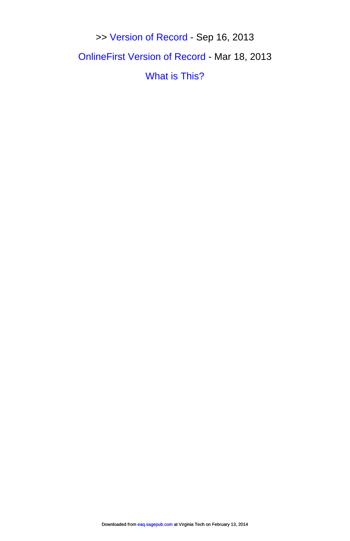[What is This?](http://online.sagepub.com/site/sphelp/vorhelp.xhtml) [OnlineFirst Version of Record -](http://eaq.sagepub.com/content/early/2013/03/18/0013161X12468148.full.pdf) Mar 18, 2013 >> [Version of Record -](http://eaq.sagepub.com/content/49/4/610.full.pdf) Sep 16, 2013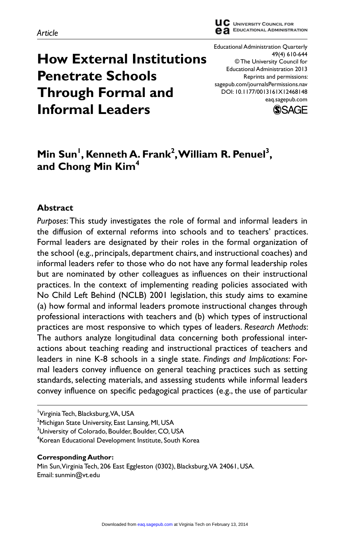**How External Institutions Penetrate Schools Through Formal and Informal Leaders**

Educational Administration Quarterly 49(4) 610-644 © The University Council for Educational Administration 2013 Reprints and permissions: sagepub.com/journalsPermissions.nav DOI: 10.1177/0013161X12468148 eaq.sagepub.com

**UC** UNIVERSITY COUNCIL FOR **A** EDUCATIONAL ADMINISTRATION



# **Min Sun<sup>1</sup>, Kenneth A. Frank<sup>2</sup>, William R. Penuel<sup>3</sup>, and Chong Min Kim4**

## **Abstract**

*Purposes*: This study investigates the role of formal and informal leaders in the diffusion of external reforms into schools and to teachers' practices. Formal leaders are designated by their roles in the formal organization of the school (e.g., principals, department chairs, and instructional coaches) and informal leaders refer to those who do not have any formal leadership roles but are nominated by other colleagues as influences on their instructional practices. In the context of implementing reading policies associated with No Child Left Behind (NCLB) 2001 legislation, this study aims to examine (a) how formal and informal leaders promote instructional changes through professional interactions with teachers and (b) which types of instructional practices are most responsive to which types of leaders. *Research Methods*: The authors analyze longitudinal data concerning both professional interactions about teaching reading and instructional practices of teachers and leaders in nine K-8 schools in a single state. *Findings and Implications*: Formal leaders convey influence on general teaching practices such as setting standards, selecting materials, and assessing students while informal leaders convey influence on specific pedagogical practices (e.g., the use of particular

<sup>1</sup>Virginia Tech, Blacksburg, VA, USA

 $^{2}$ Michigan State University, East Lansing, MI, USA

<sup>3</sup>University of Colorado, Boulder, Boulder, CO, USA

4 Korean Educational Development Institute, South Korea

#### **Corresponding Author:**

Min Sun, Virginia Tech, 206 East Eggleston (0302), Blacksburg, VA 24061, USA. Email: sunmin@vt.edu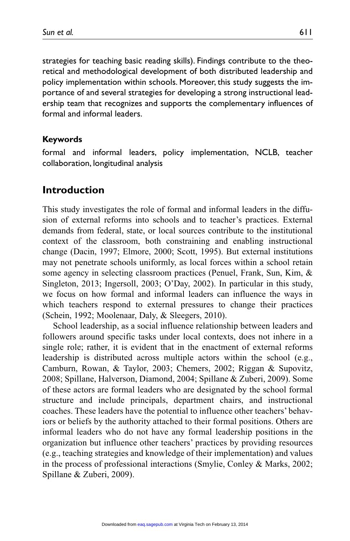strategies for teaching basic reading skills). Findings contribute to the theoretical and methodological development of both distributed leadership and policy implementation within schools. Moreover, this study suggests the importance of and several strategies for developing a strong instructional leadership team that recognizes and supports the complementary influences of formal and informal leaders.

#### **Keywords**

formal and informal leaders, policy implementation, NCLB, teacher collaboration, longitudinal analysis

## **Introduction**

This study investigates the role of formal and informal leaders in the diffusion of external reforms into schools and to teacher's practices. External demands from federal, state, or local sources contribute to the institutional context of the classroom, both constraining and enabling instructional change (Dacin, 1997; Elmore, 2000; Scott, 1995). But external institutions may not penetrate schools uniformly, as local forces within a school retain some agency in selecting classroom practices (Penuel, Frank, Sun, Kim, & Singleton, 2013; Ingersoll, 2003; O'Day, 2002). In particular in this study, we focus on how formal and informal leaders can influence the ways in which teachers respond to external pressures to change their practices (Schein, 1992; Moolenaar, Daly, & Sleegers, 2010).

School leadership, as a social influence relationship between leaders and followers around specific tasks under local contexts, does not inhere in a single role; rather, it is evident that in the enactment of external reforms leadership is distributed across multiple actors within the school (e.g., Camburn, Rowan, & Taylor, 2003; Chemers, 2002; Riggan & Supovitz, 2008; Spillane, Halverson, Diamond, 2004; Spillane & Zuberi, 2009). Some of these actors are formal leaders who are designated by the school formal structure and include principals, department chairs, and instructional coaches. These leaders have the potential to influence other teachers' behaviors or beliefs by the authority attached to their formal positions. Others are informal leaders who do not have any formal leadership positions in the organization but influence other teachers' practices by providing resources (e.g., teaching strategies and knowledge of their implementation) and values in the process of professional interactions (Smylie, Conley & Marks, 2002; Spillane & Zuberi, 2009).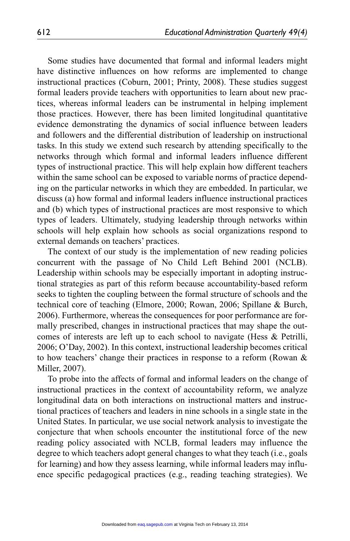Some studies have documented that formal and informal leaders might have distinctive influences on how reforms are implemented to change instructional practices (Coburn, 2001; Printy, 2008). These studies suggest formal leaders provide teachers with opportunities to learn about new practices, whereas informal leaders can be instrumental in helping implement those practices. However, there has been limited longitudinal quantitative evidence demonstrating the dynamics of social influence between leaders and followers and the differential distribution of leadership on instructional tasks. In this study we extend such research by attending specifically to the networks through which formal and informal leaders influence different types of instructional practice. This will help explain how different teachers within the same school can be exposed to variable norms of practice depending on the particular networks in which they are embedded. In particular, we discuss (a) how formal and informal leaders influence instructional practices and (b) which types of instructional practices are most responsive to which types of leaders. Ultimately, studying leadership through networks within schools will help explain how schools as social organizations respond to external demands on teachers' practices.

The context of our study is the implementation of new reading policies concurrent with the passage of No Child Left Behind 2001 (NCLB). Leadership within schools may be especially important in adopting instructional strategies as part of this reform because accountability-based reform seeks to tighten the coupling between the formal structure of schools and the technical core of teaching (Elmore, 2000; Rowan, 2006; Spillane & Burch, 2006). Furthermore, whereas the consequences for poor performance are formally prescribed, changes in instructional practices that may shape the outcomes of interests are left up to each school to navigate (Hess & Petrilli, 2006; O'Day, 2002). In this context, instructional leadership becomes critical to how teachers' change their practices in response to a reform (Rowan & Miller, 2007).

To probe into the affects of formal and informal leaders on the change of instructional practices in the context of accountability reform, we analyze longitudinal data on both interactions on instructional matters and instructional practices of teachers and leaders in nine schools in a single state in the United States. In particular, we use social network analysis to investigate the conjecture that when schools encounter the institutional force of the new reading policy associated with NCLB, formal leaders may influence the degree to which teachers adopt general changes to what they teach (i.e., goals for learning) and how they assess learning, while informal leaders may influence specific pedagogical practices (e.g., reading teaching strategies). We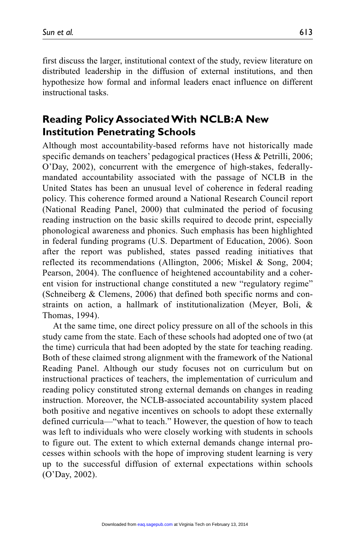first discuss the larger, institutional context of the study, review literature on distributed leadership in the diffusion of external institutions, and then hypothesize how formal and informal leaders enact influence on different instructional tasks.

# **Reading Policy Associated With NCLB: A New Institution Penetrating Schools**

Although most accountability-based reforms have not historically made specific demands on teachers' pedagogical practices (Hess & Petrilli, 2006; O'Day, 2002), concurrent with the emergence of high-stakes, federallymandated accountability associated with the passage of NCLB in the United States has been an unusual level of coherence in federal reading policy. This coherence formed around a National Research Council report (National Reading Panel, 2000) that culminated the period of focusing reading instruction on the basic skills required to decode print, especially phonological awareness and phonics. Such emphasis has been highlighted in federal funding programs (U.S. Department of Education, 2006). Soon after the report was published, states passed reading initiatives that reflected its recommendations (Allington, 2006; Miskel & Song, 2004; Pearson, 2004). The confluence of heightened accountability and a coherent vision for instructional change constituted a new "regulatory regime" (Schneiberg & Clemens, 2006) that defined both specific norms and constraints on action, a hallmark of institutionalization (Meyer, Boli, & Thomas, 1994).

At the same time, one direct policy pressure on all of the schools in this study came from the state. Each of these schools had adopted one of two (at the time) curricula that had been adopted by the state for teaching reading. Both of these claimed strong alignment with the framework of the National Reading Panel. Although our study focuses not on curriculum but on instructional practices of teachers, the implementation of curriculum and reading policy constituted strong external demands on changes in reading instruction. Moreover, the NCLB-associated accountability system placed both positive and negative incentives on schools to adopt these externally defined curricula—"what to teach." However, the question of how to teach was left to individuals who were closely working with students in schools to figure out. The extent to which external demands change internal processes within schools with the hope of improving student learning is very up to the successful diffusion of external expectations within schools (O'Day, 2002).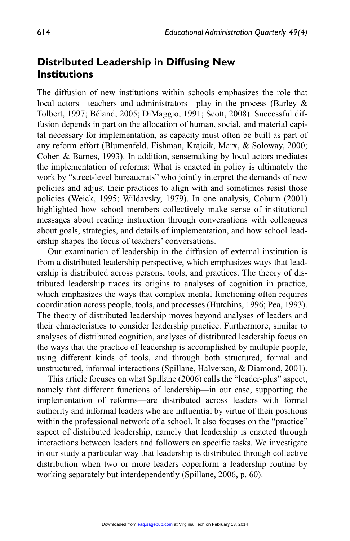# **Distributed Leadership in Diffusing New Institutions**

The diffusion of new institutions within schools emphasizes the role that local actors—teachers and administrators—play in the process (Barley & Tolbert, 1997; Béland, 2005; DiMaggio, 1991; Scott, 2008). Successful diffusion depends in part on the allocation of human, social, and material capital necessary for implementation, as capacity must often be built as part of any reform effort (Blumenfeld, Fishman, Krajcik, Marx, & Soloway, 2000; Cohen & Barnes, 1993). In addition, sensemaking by local actors mediates the implementation of reforms: What is enacted in policy is ultimately the work by "street-level bureaucrats" who jointly interpret the demands of new policies and adjust their practices to align with and sometimes resist those policies (Weick, 1995; Wildavsky, 1979). In one analysis, Coburn (2001) highlighted how school members collectively make sense of institutional messages about reading instruction through conversations with colleagues about goals, strategies, and details of implementation, and how school leadership shapes the focus of teachers' conversations.

Our examination of leadership in the diffusion of external institution is from a distributed leadership perspective, which emphasizes ways that leadership is distributed across persons, tools, and practices. The theory of distributed leadership traces its origins to analyses of cognition in practice, which emphasizes the ways that complex mental functioning often requires coordination across people, tools, and processes (Hutchins, 1996; Pea, 1993). The theory of distributed leadership moves beyond analyses of leaders and their characteristics to consider leadership practice. Furthermore, similar to analyses of distributed cognition, analyses of distributed leadership focus on the ways that the practice of leadership is accomplished by multiple people, using different kinds of tools, and through both structured, formal and unstructured, informal interactions (Spillane, Halverson, & Diamond, 2001).

This article focuses on what Spillane (2006) calls the "leader-plus" aspect, namely that different functions of leadership—in our case, supporting the implementation of reforms—are distributed across leaders with formal authority and informal leaders who are influential by virtue of their positions within the professional network of a school. It also focuses on the "practice" aspect of distributed leadership, namely that leadership is enacted through interactions between leaders and followers on specific tasks. We investigate in our study a particular way that leadership is distributed through collective distribution when two or more leaders coperform a leadership routine by working separately but interdependently (Spillane, 2006, p. 60).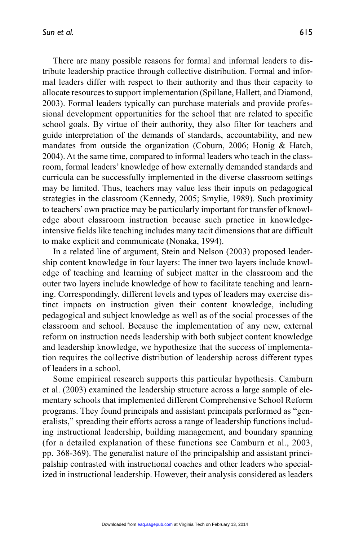There are many possible reasons for formal and informal leaders to distribute leadership practice through collective distribution. Formal and informal leaders differ with respect to their authority and thus their capacity to allocate resources to support implementation (Spillane, Hallett, and Diamond, 2003). Formal leaders typically can purchase materials and provide professional development opportunities for the school that are related to specific school goals. By virtue of their authority, they also filter for teachers and guide interpretation of the demands of standards, accountability, and new mandates from outside the organization (Coburn, 2006; Honig & Hatch, 2004). At the same time, compared to informal leaders who teach in the classroom, formal leaders' knowledge of how externally demanded standards and curricula can be successfully implemented in the diverse classroom settings may be limited. Thus, teachers may value less their inputs on pedagogical strategies in the classroom (Kennedy, 2005; Smylie, 1989). Such proximity to teachers' own practice may be particularly important for transfer of knowledge about classroom instruction because such practice in knowledgeintensive fields like teaching includes many tacit dimensions that are difficult to make explicit and communicate (Nonaka, 1994).

In a related line of argument, Stein and Nelson (2003) proposed leadership content knowledge in four layers: The inner two layers include knowledge of teaching and learning of subject matter in the classroom and the outer two layers include knowledge of how to facilitate teaching and learning. Correspondingly, different levels and types of leaders may exercise distinct impacts on instruction given their content knowledge, including pedagogical and subject knowledge as well as of the social processes of the classroom and school. Because the implementation of any new, external reform on instruction needs leadership with both subject content knowledge and leadership knowledge, we hypothesize that the success of implementation requires the collective distribution of leadership across different types of leaders in a school.

Some empirical research supports this particular hypothesis. Camburn et al. (2003) examined the leadership structure across a large sample of elementary schools that implemented different Comprehensive School Reform programs. They found principals and assistant principals performed as "generalists," spreading their efforts across a range of leadership functions including instructional leadership, building management, and boundary spanning (for a detailed explanation of these functions see Camburn et al., 2003, pp. 368-369). The generalist nature of the principalship and assistant principalship contrasted with instructional coaches and other leaders who specialized in instructional leadership. However, their analysis considered as leaders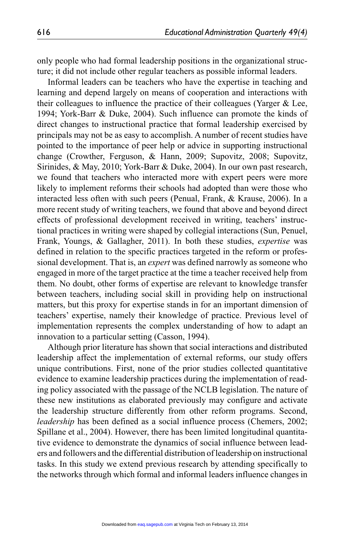only people who had formal leadership positions in the organizational structure; it did not include other regular teachers as possible informal leaders.

Informal leaders can be teachers who have the expertise in teaching and learning and depend largely on means of cooperation and interactions with their colleagues to influence the practice of their colleagues (Yarger & Lee, 1994; York-Barr & Duke, 2004). Such influence can promote the kinds of direct changes to instructional practice that formal leadership exercised by principals may not be as easy to accomplish. A number of recent studies have pointed to the importance of peer help or advice in supporting instructional change (Crowther, Ferguson, & Hann, 2009; Supovitz, 2008; Supovitz, Sirinides, & May, 2010; York-Barr & Duke, 2004). In our own past research, we found that teachers who interacted more with expert peers were more likely to implement reforms their schools had adopted than were those who interacted less often with such peers (Penual, Frank, & Krause, 2006). In a more recent study of writing teachers, we found that above and beyond direct effects of professional development received in writing, teachers' instructional practices in writing were shaped by collegial interactions (Sun, Penuel, Frank, Youngs, & Gallagher, 2011). In both these studies, *expertise* was defined in relation to the specific practices targeted in the reform or professional development. That is, an *expert* was defined narrowly as someone who engaged in more of the target practice at the time a teacher received help from them. No doubt, other forms of expertise are relevant to knowledge transfer between teachers, including social skill in providing help on instructional matters, but this proxy for expertise stands in for an important dimension of teachers' expertise, namely their knowledge of practice. Previous level of implementation represents the complex understanding of how to adapt an innovation to a particular setting (Casson, 1994).

Although prior literature has shown that social interactions and distributed leadership affect the implementation of external reforms, our study offers unique contributions. First, none of the prior studies collected quantitative evidence to examine leadership practices during the implementation of reading policy associated with the passage of the NCLB legislation. The nature of these new institutions as elaborated previously may configure and activate the leadership structure differently from other reform programs. Second, *leadership* has been defined as a social influence process (Chemers, 2002; Spillane et al., 2004). However, there has been limited longitudinal quantitative evidence to demonstrate the dynamics of social influence between leaders and followers and the differential distribution of leadership on instructional tasks. In this study we extend previous research by attending specifically to the networks through which formal and informal leaders influence changes in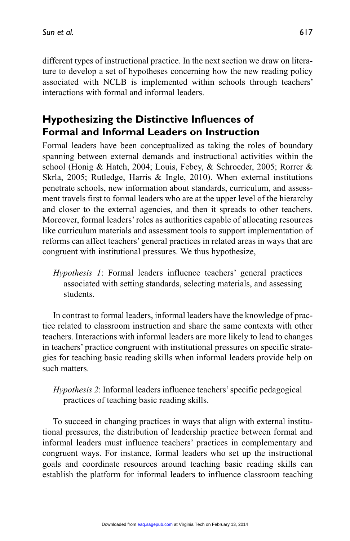different types of instructional practice. In the next section we draw on literature to develop a set of hypotheses concerning how the new reading policy associated with NCLB is implemented within schools through teachers' interactions with formal and informal leaders.

# **Hypothesizing the Distinctive Influences of Formal and Informal Leaders on Instruction**

Formal leaders have been conceptualized as taking the roles of boundary spanning between external demands and instructional activities within the school (Honig & Hatch, 2004; Louis, Febey, & Schroeder, 2005; Rorrer & Skrla, 2005; Rutledge, Harris & Ingle, 2010). When external institutions penetrate schools, new information about standards, curriculum, and assessment travels first to formal leaders who are at the upper level of the hierarchy and closer to the external agencies, and then it spreads to other teachers. Moreover, formal leaders' roles as authorities capable of allocating resources like curriculum materials and assessment tools to support implementation of reforms can affect teachers' general practices in related areas in ways that are congruent with institutional pressures. We thus hypothesize,

*Hypothesis 1*: Formal leaders influence teachers' general practices associated with setting standards, selecting materials, and assessing students.

In contrast to formal leaders, informal leaders have the knowledge of practice related to classroom instruction and share the same contexts with other teachers. Interactions with informal leaders are more likely to lead to changes in teachers' practice congruent with institutional pressures on specific strategies for teaching basic reading skills when informal leaders provide help on such matters.

*Hypothesis 2*: Informal leaders influence teachers' specific pedagogical practices of teaching basic reading skills.

To succeed in changing practices in ways that align with external institutional pressures, the distribution of leadership practice between formal and informal leaders must influence teachers' practices in complementary and congruent ways. For instance, formal leaders who set up the instructional goals and coordinate resources around teaching basic reading skills can establish the platform for informal leaders to influence classroom teaching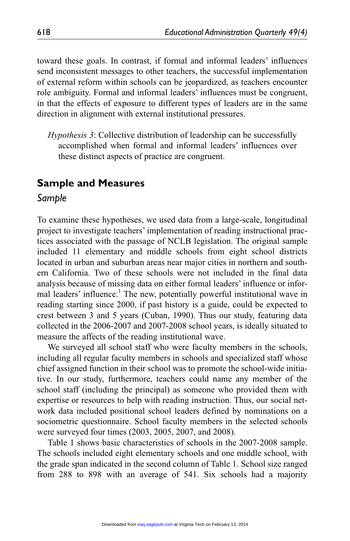toward these goals. In contrast, if formal and informal leaders' influences send inconsistent messages to other teachers, the successful implementation of external reform within schools can be jeopardized, as teachers encounter role ambiguity. Formal and informal leaders' influences must be congruent, in that the effects of exposure to different types of leaders are in the same direction in alignment with external institutional pressures.

*Hypothesis 3*: Collective distribution of leadership can be successfully accomplished when formal and informal leaders' influences over these distinct aspects of practice are congruent.

## **Sample and Measures**

#### *Sample*

To examine these hypotheses, we used data from a large-scale, longitudinal project to investigate teachers' implementation of reading instructional practices associated with the passage of NCLB legislation. The original sample included 11 elementary and middle schools from eight school districts located in urban and suburban areas near major cities in northern and southern California. Two of these schools were not included in the final data analysis because of missing data on either formal leaders' influence or informal leaders' influence.<sup>1</sup> The new, potentially powerful institutional wave in reading starting since 2000, if past history is a guide, could be expected to crest between 3 and 5 years (Cuban, 1990). Thus our study, featuring data collected in the 2006-2007 and 2007-2008 school years, is ideally situated to measure the affects of the reading institutional wave.

We surveyed all school staff who were faculty members in the schools, including all regular faculty members in schools and specialized staff whose chief assigned function in their school was to promote the school-wide initiative. In our study, furthermore, teachers could name any member of the school staff (including the principal) as someone who provided them with expertise or resources to help with reading instruction. Thus, our social network data included positional school leaders defined by nominations on a sociometric questionnaire. School faculty members in the selected schools were surveyed four times (2003, 2005, 2007, and 2008).

Table 1 shows basic characteristics of schools in the 2007-2008 sample. The schools included eight elementary schools and one middle school, with the grade span indicated in the second column of Table 1. School size ranged from 288 to 898 with an average of 541. Six schools had a majority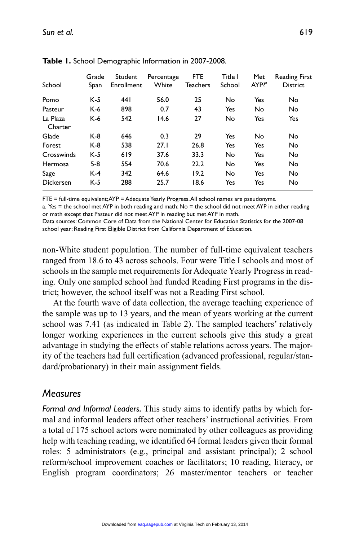| School              | Grade<br>Span | Student<br>Enrollment | Percentage<br>White | <b>FTE</b><br><b>Teachers</b> | Title I<br>School | Met<br>$AYP?^a$ | <b>Reading First</b><br><b>District</b> |
|---------------------|---------------|-----------------------|---------------------|-------------------------------|-------------------|-----------------|-----------------------------------------|
| Pomo                | $K-5$         | 441                   | 56.0                | 25                            | No                | Yes             | No                                      |
| Pasteur             | K-6           | 898                   | 0.7                 | 43                            | Yes               | No              | No                                      |
| La Plaza<br>Charter | $K-6$         | 542                   | 14.6                | 27                            | No                | Yes             | Yes                                     |
| Glade               | K-8           | 646                   | 0.3                 | 29                            | Yes               | No              | No.                                     |
| Forest              | $K-8$         | 538                   | 27.1                | 26.8                          | Yes               | Yes             | No                                      |
| Crosswinds          | $K-5$         | 619                   | 37.6                | 33.3                          | No                | Yes             | No                                      |
| Hermosa             | $5-8$         | 554                   | 70.6                | 22.2                          | No                | Yes             | No                                      |
| Sage                | $K-4$         | 342                   | 64.6                | 19.2                          | No                | Yes             | No                                      |
| Dickersen           | $K-5$         | 288                   | 25.7                | 18.6                          | Yes               | Yes             | No                                      |

**Table 1.** School Demographic Information in 2007-2008.

FTE = full-time equivalent; AYP = Adequate Yearly Progress. All school names are pseudonyms.

a. Yes = the school met AYP in both reading and math; No = the school did not meet AYP in either reading or math except that Pasteur did not meet AYP in reading but met AYP in math.

Data sources: Common Core of Data from the National Center for Education Statistics for the 2007-08 school year; Reading First Eligible District from California Department of Education.

non-White student population. The number of full-time equivalent teachers ranged from 18.6 to 43 across schools. Four were Title I schools and most of schools in the sample met requirements for Adequate Yearly Progress in reading. Only one sampled school had funded Reading First programs in the district; however, the school itself was not a Reading First school.

At the fourth wave of data collection, the average teaching experience of the sample was up to 13 years, and the mean of years working at the current school was 7.41 (as indicated in Table 2). The sampled teachers' relatively longer working experiences in the current schools give this study a great advantage in studying the effects of stable relations across years. The majority of the teachers had full certification (advanced professional, regular/standard/probationary) in their main assignment fields.

## *Measures*

*Formal and Informal Leaders.* This study aims to identify paths by which formal and informal leaders affect other teachers' instructional activities. From a total of 175 school actors were nominated by other colleagues as providing help with teaching reading, we identified 64 formal leaders given their formal roles: 5 administrators (e.g., principal and assistant principal); 2 school reform/school improvement coaches or facilitators; 10 reading, literacy, or English program coordinators; 26 master/mentor teachers or teacher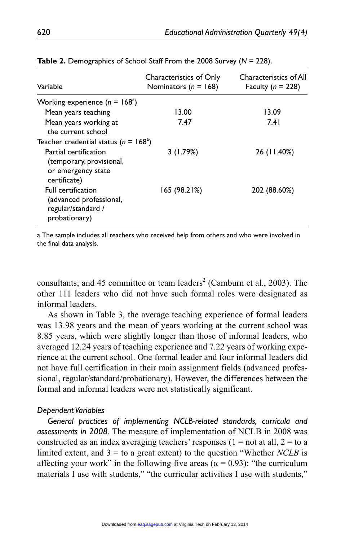| Variable                                                                                    | Characteristics of Only<br>Nominators ( $n = 168$ ) | Characteristics of All<br>Faculty ( $n = 228$ ) |
|---------------------------------------------------------------------------------------------|-----------------------------------------------------|-------------------------------------------------|
| Working experience $(n = 168^{\circ})$                                                      |                                                     |                                                 |
| Mean years teaching                                                                         | 13.00                                               | 13.09                                           |
| Mean years working at<br>the current school                                                 | 7.47                                                | 7.4 I                                           |
| Teacher credential status ( $n = 168^a$ )                                                   |                                                     |                                                 |
| Partial certification<br>(temporary, provisional,<br>or emergency state<br>certificate)     | 3(1.79%)                                            | 26 (11.40%)                                     |
| <b>Full certification</b><br>(advanced professional,<br>regular/standard /<br>probationary) | 165 (98.21%)                                        | 202 (88.60%)                                    |

**Table 2.** Demographics of School Staff From the 2008 Survey (*N* = 228).

a. The sample includes all teachers who received help from others and who were involved in the final data analysis.

consultants; and 45 committee or team leaders<sup>2</sup> (Camburn et al., 2003). The other 111 leaders who did not have such formal roles were designated as informal leaders.

As shown in Table 3, the average teaching experience of formal leaders was 13.98 years and the mean of years working at the current school was 8.85 years, which were slightly longer than those of informal leaders, who averaged 12.24 years of teaching experience and 7.22 years of working experience at the current school. One formal leader and four informal leaders did not have full certification in their main assignment fields (advanced professional, regular/standard/probationary). However, the differences between the formal and informal leaders were not statistically significant.

#### *Dependent Variables*

*General practices of implementing NCLB-related standards, curricula and assessments in 2008*. The measure of implementation of NCLB in 2008 was constructed as an index averaging teachers' responses ( $1 = not at all, 2 = to a$ ) limited extent, and  $3 =$  to a great extent) to the question "Whether *NCLB* is affecting your work" in the following five areas ( $\alpha = 0.93$ ): "the curriculum materials I use with students," "the curricular activities I use with students,"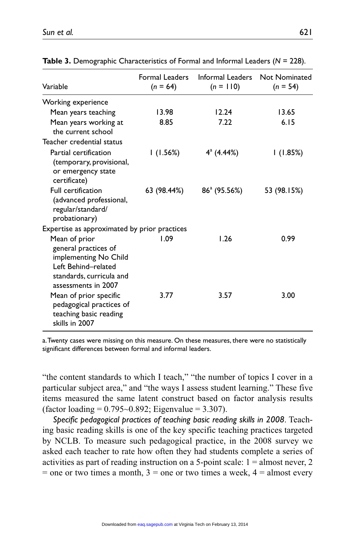| Variable                                                                                                                                 | <b>Formal Leaders</b><br>$(n = 64)$ | Informal Leaders<br>$(n = 110)$ | <b>Not Nominated</b><br>$(n = 54)$ |
|------------------------------------------------------------------------------------------------------------------------------------------|-------------------------------------|---------------------------------|------------------------------------|
| Working experience                                                                                                                       |                                     |                                 |                                    |
| Mean years teaching                                                                                                                      | 13.98                               | 12.24                           | 13.65                              |
| Mean years working at<br>the current school                                                                                              | 8.85                                | 7.22                            | 6.15                               |
| Teacher credential status                                                                                                                |                                     |                                 |                                    |
| Partial certification<br>(temporary, provisional,<br>or emergency state<br>certificate)                                                  | 1(1.56%)                            | $4^a$ (4.44%)                   | I (1.85%)                          |
| <b>Full certification</b><br>(advanced professional,<br>regular/standard/<br>probationary)                                               | 63 (98.44%)                         | $86^{\circ}$ (95.56%)           | 53 (98.15%)                        |
| Expertise as approximated by prior practices                                                                                             |                                     |                                 |                                    |
| Mean of prior<br>general practices of<br>implementing No Child<br>Left Behind-related<br>standards, curricula and<br>assessments in 2007 | 1.09                                | 1.26                            | 0.99                               |
| Mean of prior specific<br>pedagogical practices of<br>teaching basic reading<br>skills in 2007                                           | 3.77                                | 3.57                            | 3.00                               |

**Table 3.** Demographic Characteristics of Formal and Informal Leaders (*N* = 228).

a. Twenty cases were missing on this measure. On these measures, there were no statistically significant differences between formal and informal leaders.

"the content standards to which I teach," "the number of topics I cover in a particular subject area," and "the ways I assess student learning." These five items measured the same latent construct based on factor analysis results  $(factor loading = 0.795~0.892; Eigenvalue = 3.307).$ 

*Specific pedagogical practices of teaching basic reading skills in 2008*. Teaching basic reading skills is one of the key specific teaching practices targeted by NCLB. To measure such pedagogical practice, in the 2008 survey we asked each teacher to rate how often they had students complete a series of activities as part of reading instruction on a 5-point scale:  $1 =$  almost never, 2  $=$  one or two times a month,  $3 =$  one or two times a week,  $4 =$  almost every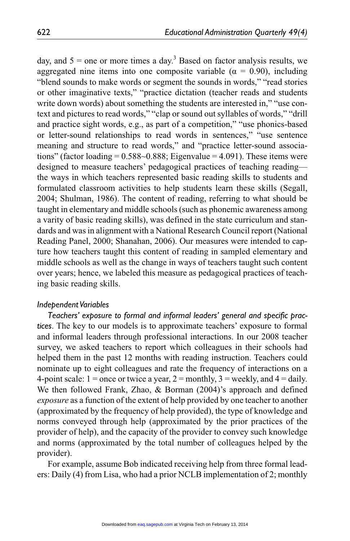day, and  $5$  = one or more times a day.<sup>3</sup> Based on factor analysis results, we aggregated nine items into one composite variable ( $\alpha = 0.90$ ), including "blend sounds to make words or segment the sounds in words," "read stories or other imaginative texts," "practice dictation (teacher reads and students write down words) about something the students are interested in," "use context and pictures to read words," "clap or sound out syllables of words," "drill and practice sight words, e.g., as part of a competition," "use phonics-based or letter-sound relationships to read words in sentences," "use sentence meaning and structure to read words," and "practice letter-sound associations" (factor loading  $= 0.588 - 0.888$ ; Eigenvalue  $= 4.091$ ). These items were designed to measure teachers' pedagogical practices of teaching reading the ways in which teachers represented basic reading skills to students and formulated classroom activities to help students learn these skills (Segall, 2004; Shulman, 1986). The content of reading, referring to what should be taught in elementary and middle schools (such as phonemic awareness among a varity of basic reading skills), was defined in the state curriculum and standards and was in alignment with a National Research Council report (National Reading Panel, 2000; Shanahan, 2006). Our measures were intended to capture how teachers taught this content of reading in sampled elementary and middle schools as well as the change in ways of teachers taught such content over years; hence, we labeled this measure as pedagogical practices of teaching basic reading skills.

#### *Independent Variables*

*Teachers' exposure to formal and informal leaders' general and specific practices*. The key to our models is to approximate teachers' exposure to formal and informal leaders through professional interactions. In our 2008 teacher survey, we asked teachers to report which colleagues in their schools had helped them in the past 12 months with reading instruction. Teachers could nominate up to eight colleagues and rate the frequency of interactions on a 4-point scale:  $1 =$  once or twice a year,  $2 =$  monthly,  $3 =$  weekly, and  $4 =$  daily. We then followed Frank, Zhao, & Borman (2004)'s approach and defined *exposure* as a function of the extent of help provided by one teacher to another (approximated by the frequency of help provided), the type of knowledge and norms conveyed through help (approximated by the prior practices of the provider of help), and the capacity of the provider to convey such knowledge and norms (approximated by the total number of colleagues helped by the provider).

For example, assume Bob indicated receiving help from three formal leaders: Daily (4) from Lisa, who had a prior NCLB implementation of 2; monthly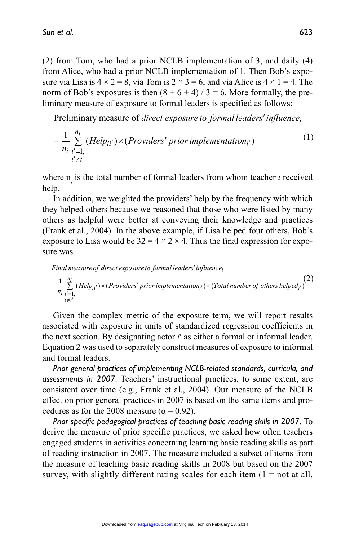(2) from Tom, who had a prior NCLB implementation of 3, and daily (4) from Alice, who had a prior NCLB implementation of 1. Then Bob's exposure via Lisa is  $4 \times 2 = 8$ , via Tom is  $2 \times 3 = 6$ , and via Alice is  $4 \times 1 = 4$ . The norm of Bob's exposures is then  $(8 + 6 + 4) / 3 = 6$ . More formally, the preliminary measure of exposure to formal leaders is specified as follows:

Preliminary measure of *direct exposure to formal leaders*′*influence i*

$$
=\frac{1}{n_i}\sum_{\substack{i'=1,\ i'\neq i}}^{n_i} (Help_{ii'}) \times (Providers' prior implementation_{i'})
$$
\n(1)

where  $n_i$  is the total number of formal leaders from whom teacher *i* received help.

In addition, we weighted the providers' help by the frequency with which they helped others because we reasoned that those who were listed by many others as helpful were better at conveying their knowledge and practices (Frank et al., 2004). In the above example, if Lisa helped four others, Bob's exposure to Lisa would be  $32 = 4 \times 2 \times 4$ . Thus the final expression for exposure was

*Final measure of direct exposureto formal leaders influence i* ′

$$
=\frac{1}{n_i}\sum_{\substack{i'=1,\\i\neq i'}}^{n_i} (Help_{ii'}) \times (Providers' prior implementation_{i'}) \times (Total number of others helped_{i'})^{2}
$$

Given the complex metric of the exposure term, we will report results associated with exposure in units of standardized regression coefficients in the next section. By designating actor *i*′ as either a formal or informal leader, Equation 2 was used to separately construct measures of exposure to informal and formal leaders.

*Prior general practices of implementing NCLB-related standards, curricula, and assessments in 2007*. Teachers' instructional practices, to some extent, are consistent over time (e.g., Frank et al., 2004). Our measure of the NCLB effect on prior general practices in 2007 is based on the same items and procedures as for the 2008 measure ( $\alpha$  = 0.92).

*Prior specific pedagogical practices of teaching basic reading skills in 2007*. To derive the measure of prior specific practices, we asked how often teachers engaged students in activities concerning learning basic reading skills as part of reading instruction in 2007. The measure included a subset of items from the measure of teaching basic reading skills in 2008 but based on the 2007 survey, with slightly different rating scales for each item  $(1 = not at all,$ 

 $(2)$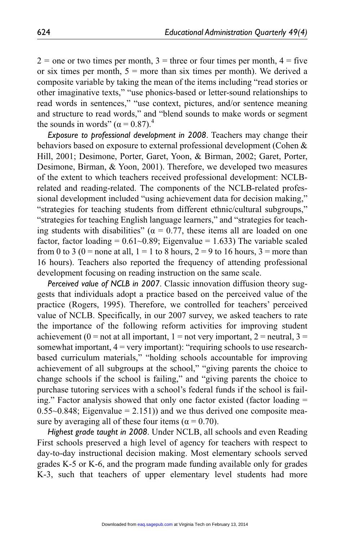$2 =$  one or two times per month,  $3 =$  three or four times per month,  $4 =$  five or six times per month,  $5 =$  more than six times per month). We derived a composite variable by taking the mean of the items including "read stories or other imaginative texts," "use phonics-based or letter-sound relationships to read words in sentences," "use context, pictures, and/or sentence meaning and structure to read words," and "blend sounds to make words or segment the sounds in words" ( $\alpha$  = 0.87).<sup>4</sup>

*Exposure to professional development in 2008*. Teachers may change their behaviors based on exposure to external professional development (Cohen & Hill, 2001; Desimone, Porter, Garet, Yoon, & Birman, 2002; Garet, Porter, Desimone, Birman, & Yoon, 2001). Therefore, we developed two measures of the extent to which teachers received professional development: NCLBrelated and reading-related. The components of the NCLB-related professional development included "using achievement data for decision making," "strategies for teaching students from different ethnic/cultural subgroups," "strategies for teaching English language learners," and "strategies for teaching students with disabilities" ( $\alpha = 0.77$ , these items all are loaded on one factor, factor loading =  $0.61 \sim 0.89$ ; Eigenvalue = 1.633) The variable scaled from 0 to 3 (0 = none at all,  $1 = 1$  to 8 hours,  $2 = 9$  to 16 hours,  $3 =$  more than 16 hours). Teachers also reported the frequency of attending professional development focusing on reading instruction on the same scale.

*Perceived value of NCLB in 2007*. Classic innovation diffusion theory suggests that individuals adopt a practice based on the perceived value of the practice (Rogers, 1995). Therefore, we controlled for teachers' perceived value of NCLB. Specifically, in our 2007 survey, we asked teachers to rate the importance of the following reform activities for improving student achievement (0 = not at all important, 1 = not very important, 2 = neutral, 3 = somewhat important,  $4 = \text{very important}$ : "requiring schools to use researchbased curriculum materials," "holding schools accountable for improving achievement of all subgroups at the school," "giving parents the choice to change schools if the school is failing," and "giving parents the choice to purchase tutoring services with a school's federal funds if the school is failing." Factor analysis showed that only one factor existed (factor loading =  $0.55~0.848$ ; Eigenvalue = 2.151) and we thus derived one composite measure by averaging all of these four items ( $\alpha = 0.70$ ).

*Highest grade taught in 2008*. Under NCLB, all schools and even Reading First schools preserved a high level of agency for teachers with respect to day-to-day instructional decision making. Most elementary schools served grades K-5 or K-6, and the program made funding available only for grades K-3, such that teachers of upper elementary level students had more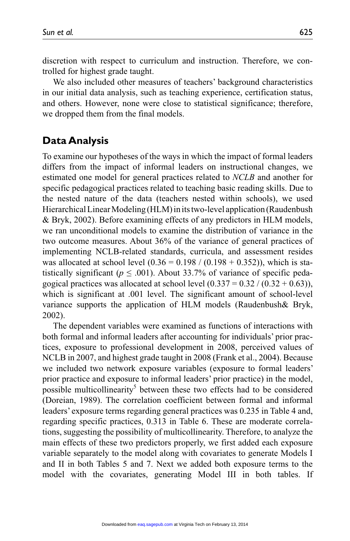discretion with respect to curriculum and instruction. Therefore, we controlled for highest grade taught.

We also included other measures of teachers' background characteristics in our initial data analysis, such as teaching experience, certification status, and others. However, none were close to statistical significance; therefore, we dropped them from the final models.

# **Data Analysis**

To examine our hypotheses of the ways in which the impact of formal leaders differs from the impact of informal leaders on instructional changes, we estimated one model for general practices related to *NCLB* and another for specific pedagogical practices related to teaching basic reading skills. Due to the nested nature of the data (teachers nested within schools), we used Hierarchical Linear Modeling (HLM) in its two-level application (Raudenbush & Bryk, 2002). Before examining effects of any predictors in HLM models, we ran unconditional models to examine the distribution of variance in the two outcome measures. About 36% of the variance of general practices of implementing NCLB-related standards, curricula, and assessment resides was allocated at school level  $(0.36 = 0.198 / (0.198 + 0.352))$ , which is statistically significant ( $p \leq .001$ ). About 33.7% of variance of specific pedagogical practices was allocated at school level  $(0.337 = 0.32 / (0.32 + 0.63))$ , which is significant at .001 level. The significant amount of school-level variance supports the application of HLM models (Raudenbush& Bryk, 2002).

The dependent variables were examined as functions of interactions with both formal and informal leaders after accounting for individuals' prior practices, exposure to professional development in 2008, perceived values of NCLB in 2007, and highest grade taught in 2008 (Frank et al., 2004). Because we included two network exposure variables (exposure to formal leaders' prior practice and exposure to informal leaders' prior practice) in the model, possible multicollinearity<sup>5</sup> between these two effects had to be considered (Doreian, 1989). The correlation coefficient between formal and informal leaders' exposure terms regarding general practices was 0.235 in Table 4 and, regarding specific practices, 0.313 in Table 6. These are moderate correlations, suggesting the possibility of multicollinearity. Therefore, to analyze the main effects of these two predictors properly, we first added each exposure variable separately to the model along with covariates to generate Models I and II in both Tables 5 and 7. Next we added both exposure terms to the model with the covariates, generating Model III in both tables. If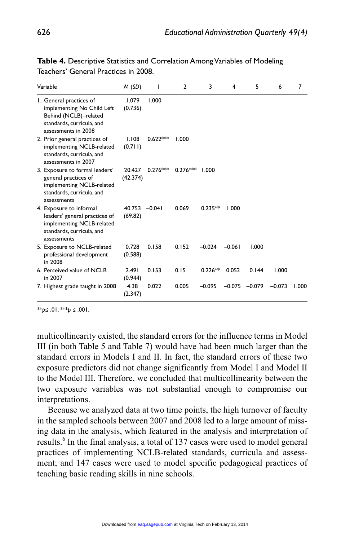| Variable                                                                                                                           | M(SD)                      | ı          | 2          | 3         | 4        | 5        | 6        | $\overline{7}$ |
|------------------------------------------------------------------------------------------------------------------------------------|----------------------------|------------|------------|-----------|----------|----------|----------|----------------|
| I. General practices of<br>implementing No Child Left<br>Behind (NCLB)-related<br>standards, curricula, and<br>assessments in 2008 | 1.079<br>(0.736)           | 1.000      |            |           |          |          |          |                |
| 2. Prior general practices of<br>implementing NCLB-related<br>standards, curricula, and<br>assessments in 2007                     | 1.108<br>(0.711)           | $0.622***$ | 1.000      |           |          |          |          |                |
| 3. Exposure to formal leaders'<br>general practices of<br>implementing NCLB-related<br>standards, curricula, and<br>assessments    | 20.427<br>(42.374)         | $0.276***$ | $0.276***$ | 1.000     |          |          |          |                |
| 4. Exposure to informal<br>leaders' general practices of<br>implementing NCLB-related<br>standards, curricula, and<br>assessments  | $40.753 -0.041$<br>(69.82) |            | 0.069      | $0.235**$ | 1.000    |          |          |                |
| 5. Exposure to NCLB-related<br>professional development<br>in 2008                                                                 | 0.728<br>(0.588)           | 0.158      | 0.152      | $-0.024$  | $-0.061$ | 1.000    |          |                |
| 6. Perceived value of NCLB<br>in 2007                                                                                              | 2.491<br>(0.944)           | 0.153      | 0.15       | $0.226**$ | 0.052    | 0.144    | 1.000    |                |
| 7. Highest grade taught in 2008                                                                                                    | 4.38<br>(2.347)            | 0.022      | 0.005      | $-0.095$  | $-0.075$ | $-0.079$ | $-0.073$ | 1.000          |

| Table 4. Descriptive Statistics and Correlation Among Variables of Modeling |  |
|-----------------------------------------------------------------------------|--|
| Teachers' General Practices in 2008.                                        |  |

\*\**p*≤ .01. \*\*\**p* ≤ .001.

multicollinearity existed, the standard errors for the influence terms in Model III (in both Table 5 and Table 7) would have had been much larger than the standard errors in Models I and II. In fact, the standard errors of these two exposure predictors did not change significantly from Model I and Model II to the Model III. Therefore, we concluded that multicollinearity between the two exposure variables was not substantial enough to compromise our interpretations.

Because we analyzed data at two time points, the high turnover of faculty in the sampled schools between 2007 and 2008 led to a large amount of missing data in the analysis, which featured in the analysis and interpretation of results.<sup>6</sup> In the final analysis, a total of 137 cases were used to model general practices of implementing NCLB-related standards, curricula and assessment; and 147 cases were used to model specific pedagogical practices of teaching basic reading skills in nine schools.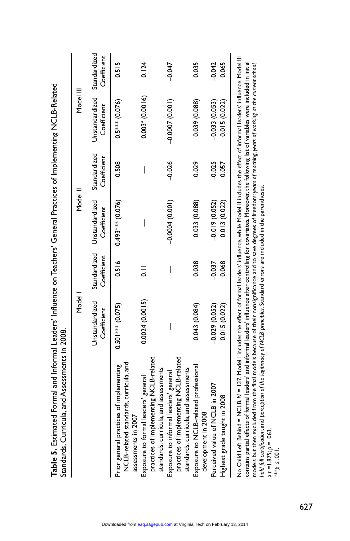|                                                                                                                                                                                                                                                                                                                                                                | Model                            |                             | Model I                          |                             | Model III                                  |                   |
|----------------------------------------------------------------------------------------------------------------------------------------------------------------------------------------------------------------------------------------------------------------------------------------------------------------------------------------------------------------|----------------------------------|-----------------------------|----------------------------------|-----------------------------|--------------------------------------------|-------------------|
|                                                                                                                                                                                                                                                                                                                                                                | Unstandardized<br>Coefficient    | Standardized<br>Coefficient | Unstandardized<br>Coefficient    | Standardized<br>Coefficient | Unstandardized Standardized<br>Coefficient | Coefficient       |
| NCLB-related standards, curricula, and<br>Prior general practices of implementing<br>assessments in 2007                                                                                                                                                                                                                                                       | $0.501***$ $(0.075)$             | 0.516                       | $0.493*** (0.076)$               | 0.508                       | $0.5*** (0.076)$                           | 0.515             |
| practices of implementing NCLB-related<br>standards, curricula, and assessments<br>Exposure to formal leaders' general                                                                                                                                                                                                                                         | 0.0024 (0.0015)                  | こご                          |                                  | I                           | $0.0033$ (0.0016)                          | 0.124             |
| practices of implementing NCLB-related<br>standards, curricula, and assessments<br>Exposure to informal leaders' general                                                                                                                                                                                                                                       | I                                | I                           | $-0.0004(0.001)$                 | $-0.026$                    | $-0.0007(0.001)$                           | $-0.047$          |
| Exposure to NCLB-related professional<br>development in 2008                                                                                                                                                                                                                                                                                                   | 0.043 (0.084)                    | 0.038                       | 0.033 (0.088)                    | 0.029                       | 0.039 (0.088)                              | 0.035             |
| Perceived value of NCLB in 2007<br>Highest grade taught in 2008                                                                                                                                                                                                                                                                                                | $-0.029(0.052)$<br>0.015 (0.022) | $-0.037$<br>0.068           | $-0.019(0.052)$<br>0.013 (0.022) | $-0.025$<br>0.057           | $-0.033(0.053)$<br>0.015 (0.022)           | $-0.042$<br>0.065 |
| No Child Left Behind = NCLB. N = 137. Model I includes the effect of formal leaders' influence, while Model II includes the effect of informal leaders' influence. Model III<br>contains partial effects of formal leaders' and informal leaders' influence after controlling for covariates Moreover the following list of variables were included in initial |                                  |                             |                                  |                             |                                            |                   |

Table 5. Estimated Formal and Informal Leaders' Influence on Teachers' General Practices of Implementing NCLB-Related **Table 5.** Estimated Formal and Informal Leaders' Influence on Teachers' General Practices of Implementing NCLB-Related Standards, Curricula, and Assessments in 2008. contains partial effects of formal leaders' and informal leaders' influence after controlling for covariates. Moreover, the following list of variables were included in initial models but then excluded from the final models because of their nonsignificance and to save degrees of freedom; years of teaching, years of working at the current school, models but then excluded from the final models because of their nonsignificance and to save degrees of freedom: *years of teaching, years of working at the current school,*  contains partial effects of formal leaders' and informal leaders' influence after controlling for covariates. Moreover, the following list of variables were included in initial held full certification, and perception of the legitimacy of NCLB principles. Standard errors are included in the parentheses. *held full certification*, and *perception of the legitimacy of NCLB principles*. Standard errors are included in the parentheses.  $at = 1.875$ ;  $p = .063$ .  $a.t = 1.875; p = .063$ . \*\*\**p* ≤ .001.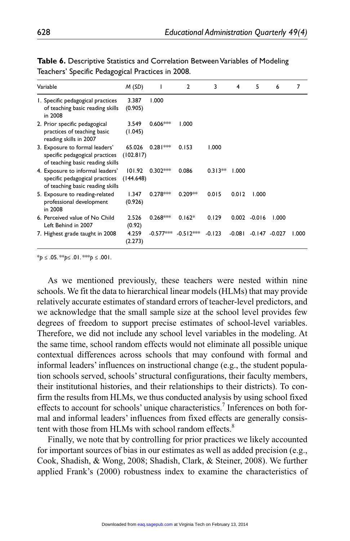| Variable                                                                                               | M(SD)               | ı           | 2           | 3         | 4        | 5        | 6        | 7           |
|--------------------------------------------------------------------------------------------------------|---------------------|-------------|-------------|-----------|----------|----------|----------|-------------|
| I. Specific pedagogical practices<br>of teaching basic reading skills<br>in 2008                       | 3.387<br>(0.905)    | 1.000       |             |           |          |          |          |             |
| 2. Prior specific pedagogical<br>practices of teaching basic<br>reading skills in 2007                 | 3.549<br>(1.045)    | $0.606***$  | 1.000       |           |          |          |          |             |
| 3. Exposure to formal leaders'<br>specific pedagogical practices<br>of teaching basic reading skills   | 65.026<br>(102.817) | $0.281***$  | 0.153       | 1.000     |          |          |          |             |
| 4. Exposure to informal leaders'<br>specific pedagogical practices<br>of teaching basic reading skills | 101.92<br>(144.648) | $0.302***$  | 0.086       | $0.313**$ | 1.000    |          |          |             |
| 5. Exposure to reading-related<br>professional development<br>in 2008                                  | 1.347<br>(0.926)    | $0.278***$  | $0.209**$   | 0.015     | 0.012    | 1.000    |          |             |
| 6. Perceived value of No Child<br>Left Behind in 2007                                                  | 2.526<br>(0.92)     | $0.268***$  | $0.162*$    | 0.129     | 0.002    | $-0.016$ | 1.000    |             |
| 7. Highest grade taught in 2008                                                                        | 4.259<br>(2.273)    | $-0.577***$ | $-0.512***$ | $-0.123$  | $-0.081$ | $-0.147$ | $-0.027$ | <b>LOO0</b> |

**Table 6.** Descriptive Statistics and Correlation Between Variables of Modeling Teachers' Specific Pedagogical Practices in 2008.

\**p* ≤ .05. \*\**p*≤ .01. \*\*\**p* ≤ .001.

As we mentioned previously, these teachers were nested within nine schools. We fit the data to hierarchical linear models (HLMs) that may provide relatively accurate estimates of standard errors of teacher-level predictors, and we acknowledge that the small sample size at the school level provides few degrees of freedom to support precise estimates of school-level variables. Therefore, we did not include any school level variables in the modeling. At the same time, school random effects would not eliminate all possible unique contextual differences across schools that may confound with formal and informal leaders' influences on instructional change (e.g., the student population schools served, schools' structural configurations, their faculty members, their institutional histories, and their relationships to their districts). To confirm the results from HLMs, we thus conducted analysis by using school fixed effects to account for schools' unique characteristics.<sup>7</sup> Inferences on both formal and informal leaders' influences from fixed effects are generally consistent with those from HLMs with school random effects. $8<sup>8</sup>$ 

Finally, we note that by controlling for prior practices we likely accounted for important sources of bias in our estimates as well as added precision (e.g., Cook, Shadish, & Wong, 2008; Shadish, Clark, & Steiner, 2008). We further applied Frank's (2000) robustness index to examine the characteristics of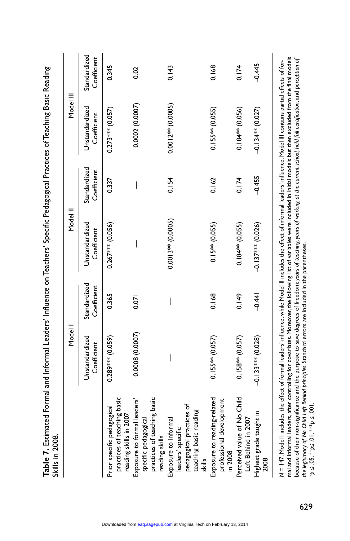|                                                                                     | Model                         |                             | Model II                      |                             | Model III                     |                             |
|-------------------------------------------------------------------------------------|-------------------------------|-----------------------------|-------------------------------|-----------------------------|-------------------------------|-----------------------------|
|                                                                                     | Unstandardized<br>Coefficient | Standardized<br>Coefficient | Unstandardized<br>Coefficient | Standardized<br>Coefficient | Unstandardized<br>Coefficient | Standardized<br>Coefficient |
| practices of teaching basic<br>Prior specific pedagogical<br>reading skills in 2007 | $(0.289***;0.059)$            | 0.365                       | $0.267***$ (0.056)            | 0.337                       | $0.273***$ (0.057)            | 0.345                       |
| Exposure to formal leaders'<br>specific pedagogical                                 | 0.0008 (0.0007)               | 0.071                       |                               |                             | 0.0002 (0.0007)               | 0.02                        |
| practices of teaching basic<br>reading skills                                       |                               |                             |                               |                             |                               |                             |
| Exposure to informal<br>leaders' specific                                           |                               |                             | $0.0013**$ (0.0005)           | 0.154                       | $0.0012***$ (0.0005)          | 0.143                       |
| pedagogical practices of<br>teaching basic reading<br>skills                        |                               |                             |                               |                             |                               |                             |
| Exposure to reading-related<br>professional development<br>in 2008                  | $0.155*** (0.057)$            | 0.168                       | $0.15*** (0.055)$             | 0.162                       | $0.155*** (0.055)$            | 0.168                       |
| Perceived value of No Child<br>Left Behind in 2007                                  | $0.158***$ (0.057)            | 0.149                       | $0.184**$ (0.055)             | 0.174                       | $0.184**$ (0.056)             | 0.174                       |
| Highest grade taught in<br>2008                                                     | $-0.133***$ (0.028)           | $-0.441$                    | $-0.137***$ (0.026)           | $-0.455$                    | $-0.134**$ (0.027)            | $-0.445$                    |

**Table 7.** Estimated Formal and Informal Leaders' Influence on Teachers' Specific Pedagogical Practices of Teaching Basic Reading

Table 7. Estimated Formal and Informal Leaders' Influence on Teachers' Specific Pedagogical Practices of Teaching Basic Reading

because of their non-significance and the purpose to save degrees of freedom: years of teaching, years of working at the current school, held full certification, and perception of the legitimacy of No Ghild Left Behind principles. Standard errors are included in the parentheses.<br>\*p ≤ .05. \*\*p≤ .0 l. \*\*\*p ≤ .00 l. *the legitimacy of No Child Left Behind principles*. Standard errors are included in the parentheses.

mal and informal leaders, after controlling for covariates. Moreover, the following list of variables were included in initial models but then excluded from the final models because of their non-significance and the purpose to save degrees of freedom: *years of teaching, years of working at the current school, held full certification*, and *perception of* 

\**p* ≤ .05. \*\**p*≤ .01. \*\*\**p* ≤ .001.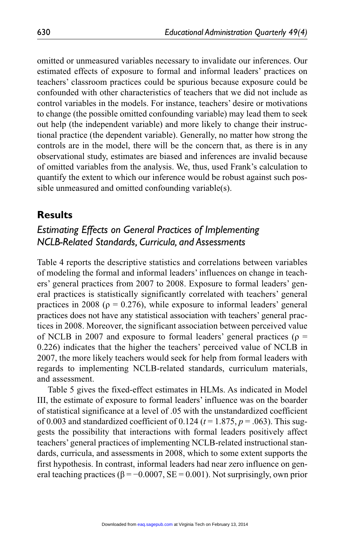omitted or unmeasured variables necessary to invalidate our inferences. Our estimated effects of exposure to formal and informal leaders' practices on teachers' classroom practices could be spurious because exposure could be confounded with other characteristics of teachers that we did not include as control variables in the models. For instance, teachers' desire or motivations to change (the possible omitted confounding variable) may lead them to seek out help (the independent variable) and more likely to change their instructional practice (the dependent variable). Generally, no matter how strong the controls are in the model, there will be the concern that, as there is in any observational study, estimates are biased and inferences are invalid because of omitted variables from the analysis. We, thus, used Frank's calculation to quantify the extent to which our inference would be robust against such possible unmeasured and omitted confounding variable(s).

## **Results**

# *Estimating Effects on General Practices of Implementing NCLB-Related Standards, Curricula, and Assessments*

Table 4 reports the descriptive statistics and correlations between variables of modeling the formal and informal leaders' influences on change in teachers' general practices from 2007 to 2008. Exposure to formal leaders' general practices is statistically significantly correlated with teachers' general practices in 2008 ( $\rho = 0.276$ ), while exposure to informal leaders' general practices does not have any statistical association with teachers' general practices in 2008. Moreover, the significant association between perceived value of NCLB in 2007 and exposure to formal leaders' general practices ( $\rho$  = 0.226) indicates that the higher the teachers' perceived value of NCLB in 2007, the more likely teachers would seek for help from formal leaders with regards to implementing NCLB-related standards, curriculum materials, and assessment.

Table 5 gives the fixed-effect estimates in HLMs. As indicated in Model III, the estimate of exposure to formal leaders' influence was on the boarder of statistical significance at a level of .05 with the unstandardized coefficient of 0.003 and standardized coefficient of 0.124 ( $t = 1.875$ ,  $p = .063$ ). This suggests the possibility that interactions with formal leaders positively affect teachers' general practices of implementing NCLB-related instructional standards, curricula, and assessments in 2008, which to some extent supports the first hypothesis. In contrast, informal leaders had near zero influence on general teaching practices ( $\beta = -0.0007$ , SE = 0.001). Not surprisingly, own prior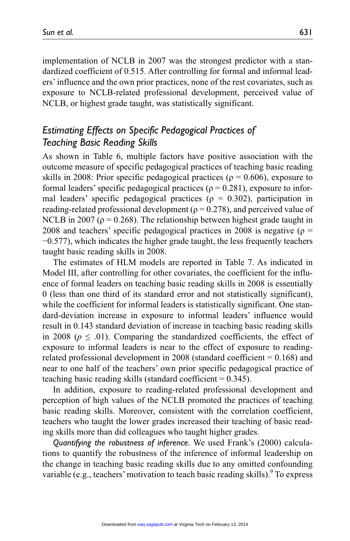implementation of NCLB in 2007 was the strongest predictor with a standardized coefficient of 0.515. After controlling for formal and informal leaders' influence and the own prior practices, none of the rest covariates, such as exposure to NCLB-related professional development, perceived value of NCLB, or highest grade taught, was statistically significant.

# *Estimating Effects on Specific Pedagogical Practices of Teaching Basic Reading Skills*

As shown in Table 6, multiple factors have positive association with the outcome measure of specific pedagogical practices of teaching basic reading skills in 2008: Prior specific pedagogical practices ( $\rho = 0.606$ ), exposure to formal leaders' specific pedagogical practices ( $\rho = 0.281$ ), exposure to informal leaders' specific pedagogical practices ( $\rho = 0.302$ ), participation in reading-related professional development ( $\rho = 0.278$ ), and perceived value of NCLB in 2007 ( $\rho = 0.268$ ). The relationship between highest grade taught in 2008 and teachers' specific pedagogical practices in 2008 is negative ( $\rho$  = −0.577), which indicates the higher grade taught, the less frequently teachers taught basic reading skills in 2008.

The estimates of HLM models are reported in Table 7. As indicated in Model III, after controlling for other covariates, the coefficient for the influence of formal leaders on teaching basic reading skills in 2008 is essentially 0 (less than one third of its standard error and not statistically significant), while the coefficient for informal leaders is statistically significant. One standard-deviation increase in exposure to informal leaders' influence would result in 0.143 standard deviation of increase in teaching basic reading skills in 2008 ( $p \leq .01$ ). Comparing the standardized coefficients, the effect of exposure to informal leaders is near to the effect of exposure to readingrelated professional development in 2008 (standard coefficient  $= 0.168$ ) and near to one half of the teachers' own prior specific pedagogical practice of teaching basic reading skills (standard coefficient  $= 0.345$ ).

In addition, exposure to reading-related professional development and perception of high values of the NCLB promoted the practices of teaching basic reading skills. Moreover, consistent with the correlation coefficient, teachers who taught the lower grades increased their teaching of basic reading skills more than did colleagues who taught higher grades.

*Quantifying the robustness of inference*. We used Frank's (2000) calculations to quantify the robustness of the inference of informal leadership on the change in teaching basic reading skills due to any omitted confounding variable (e.g., teachers' motivation to teach basic reading skills). <sup>9</sup> To express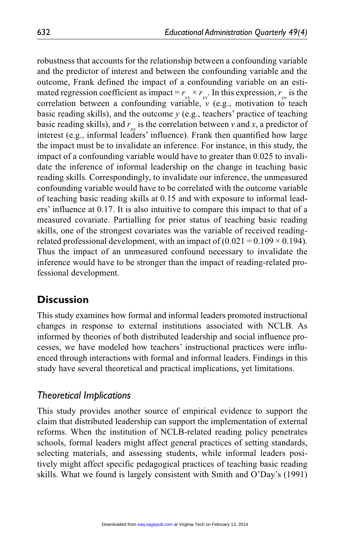robustness that accounts for the relationship between a confounding variable and the predictor of interest and between the confounding variable and the outcome, Frank defined the impact of a confounding variable on an estimated regression coefficient as impact =  $r_y \times r_y$ . In this expression,  $r_y$  is the correlation between a confounding variable,  $\dot{v}$  (e.g., motivation to teach basic reading skills), and the outcome *y* (e.g., teachers' practice of teaching basic reading skills), and  $r_{xy}$  is the correlation between  $v$  and  $x$ , a predictor of interest (e.g., informal leaders' influence). Frank then quantified how large the impact must be to invalidate an inference. For instance, in this study, the impact of a confounding variable would have to greater than 0.025 to invalidate the inference of informal leadership on the change in teaching basic reading skills. Correspondingly, to invalidate our inference, the unmeasured confounding variable would have to be correlated with the outcome variable of teaching basic reading skills at 0.15 and with exposure to informal leaders' influence at 0.17. It is also intuitive to compare this impact to that of a measured covariate. Partialling for prior status of teaching basic reading skills, one of the strongest covariates was the variable of received readingrelated professional development, with an impact of  $(0.021 = 0.109 \times 0.194)$ . Thus the impact of an unmeasured confound necessary to invalidate the inference would have to be stronger than the impact of reading-related professional development.

## **Discussion**

This study examines how formal and informal leaders promoted instructional changes in response to external institutions associated with NCLB. As informed by theories of both distributed leadership and social influence processes, we have modeled how teachers' instructional practices were influenced through interactions with formal and informal leaders. Findings in this study have several theoretical and practical implications, yet limitations.

## *Theoretical Implications*

This study provides another source of empirical evidence to support the claim that distributed leadership can support the implementation of external reforms. When the institution of NCLB-related reading policy penetrates schools, formal leaders might affect general practices of setting standards, selecting materials, and assessing students, while informal leaders positively might affect specific pedagogical practices of teaching basic reading skills. What we found is largely consistent with Smith and O'Day's (1991)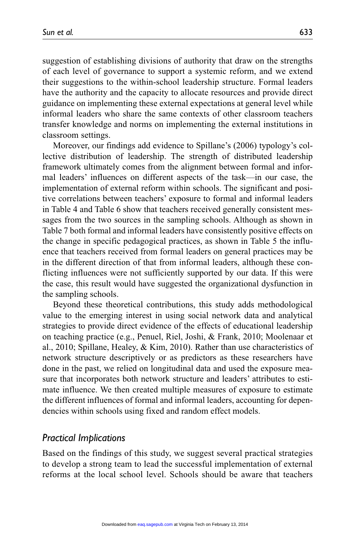suggestion of establishing divisions of authority that draw on the strengths of each level of governance to support a systemic reform, and we extend their suggestions to the within-school leadership structure. Formal leaders have the authority and the capacity to allocate resources and provide direct guidance on implementing these external expectations at general level while informal leaders who share the same contexts of other classroom teachers transfer knowledge and norms on implementing the external institutions in classroom settings.

Moreover, our findings add evidence to Spillane's (2006) typology's collective distribution of leadership. The strength of distributed leadership framework ultimately comes from the alignment between formal and informal leaders' influences on different aspects of the task—in our case, the implementation of external reform within schools. The significant and positive correlations between teachers' exposure to formal and informal leaders in Table 4 and Table 6 show that teachers received generally consistent messages from the two sources in the sampling schools. Although as shown in Table 7 both formal and informal leaders have consistently positive effects on the change in specific pedagogical practices, as shown in Table 5 the influence that teachers received from formal leaders on general practices may be in the different direction of that from informal leaders, although these conflicting influences were not sufficiently supported by our data. If this were the case, this result would have suggested the organizational dysfunction in the sampling schools.

Beyond these theoretical contributions, this study adds methodological value to the emerging interest in using social network data and analytical strategies to provide direct evidence of the effects of educational leadership on teaching practice (e.g., Penuel, Riel, Joshi, & Frank, 2010; Moolenaar et al., 2010; Spillane, Healey, & Kim, 2010). Rather than use characteristics of network structure descriptively or as predictors as these researchers have done in the past, we relied on longitudinal data and used the exposure measure that incorporates both network structure and leaders' attributes to estimate influence. We then created multiple measures of exposure to estimate the different influences of formal and informal leaders, accounting for dependencies within schools using fixed and random effect models.

## *Practical Implications*

Based on the findings of this study, we suggest several practical strategies to develop a strong team to lead the successful implementation of external reforms at the local school level. Schools should be aware that teachers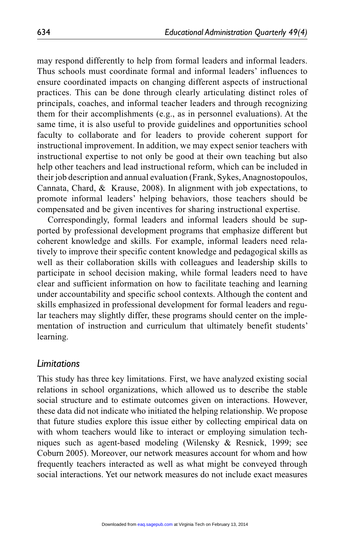may respond differently to help from formal leaders and informal leaders. Thus schools must coordinate formal and informal leaders' influences to ensure coordinated impacts on changing different aspects of instructional practices. This can be done through clearly articulating distinct roles of principals, coaches, and informal teacher leaders and through recognizing them for their accomplishments (e.g., as in personnel evaluations). At the same time, it is also useful to provide guidelines and opportunities school faculty to collaborate and for leaders to provide coherent support for instructional improvement. In addition, we may expect senior teachers with instructional expertise to not only be good at their own teaching but also help other teachers and lead instructional reform, which can be included in their job description and annual evaluation (Frank, Sykes, Anagnostopoulos, Cannata, Chard, & Krause, 2008). In alignment with job expectations, to promote informal leaders' helping behaviors, those teachers should be compensated and be given incentives for sharing instructional expertise.

Correspondingly, formal leaders and informal leaders should be supported by professional development programs that emphasize different but coherent knowledge and skills. For example, informal leaders need relatively to improve their specific content knowledge and pedagogical skills as well as their collaboration skills with colleagues and leadership skills to participate in school decision making, while formal leaders need to have clear and sufficient information on how to facilitate teaching and learning under accountability and specific school contexts. Although the content and skills emphasized in professional development for formal leaders and regular teachers may slightly differ, these programs should center on the implementation of instruction and curriculum that ultimately benefit students' learning.

#### *Limitations*

This study has three key limitations. First, we have analyzed existing social relations in school organizations, which allowed us to describe the stable social structure and to estimate outcomes given on interactions. However, these data did not indicate who initiated the helping relationship. We propose that future studies explore this issue either by collecting empirical data on with whom teachers would like to interact or employing simulation techniques such as agent-based modeling (Wilensky & Resnick, 1999; see Coburn 2005). Moreover, our network measures account for whom and how frequently teachers interacted as well as what might be conveyed through social interactions. Yet our network measures do not include exact measures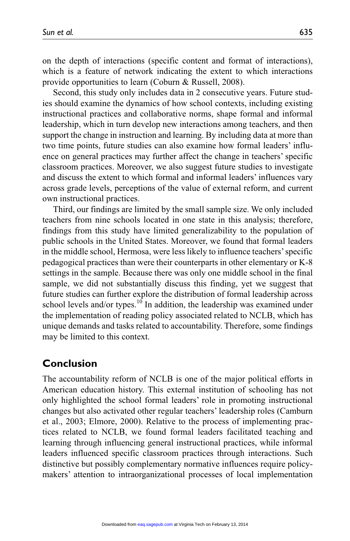on the depth of interactions (specific content and format of interactions), which is a feature of network indicating the extent to which interactions provide opportunities to learn (Coburn & Russell, 2008).

Second, this study only includes data in 2 consecutive years. Future studies should examine the dynamics of how school contexts, including existing instructional practices and collaborative norms, shape formal and informal leadership, which in turn develop new interactions among teachers, and then support the change in instruction and learning. By including data at more than two time points, future studies can also examine how formal leaders' influence on general practices may further affect the change in teachers' specific classroom practices. Moreover, we also suggest future studies to investigate and discuss the extent to which formal and informal leaders' influences vary across grade levels, perceptions of the value of external reform, and current own instructional practices.

Third, our findings are limited by the small sample size. We only included teachers from nine schools located in one state in this analysis; therefore, findings from this study have limited generalizability to the population of public schools in the United States. Moreover, we found that formal leaders in the middle school, Hermosa, were less likely to influence teachers' specific pedagogical practices than were their counterparts in other elementary or K-8 settings in the sample. Because there was only one middle school in the final sample, we did not substantially discuss this finding, yet we suggest that future studies can further explore the distribution of formal leadership across school levels and/or types.<sup>10</sup> In addition, the leadership was examined under the implementation of reading policy associated related to NCLB, which has unique demands and tasks related to accountability. Therefore, some findings may be limited to this context.

# **Conclusion**

The accountability reform of NCLB is one of the major political efforts in American education history. This external institution of schooling has not only highlighted the school formal leaders' role in promoting instructional changes but also activated other regular teachers' leadership roles (Camburn et al., 2003; Elmore, 2000). Relative to the process of implementing practices related to NCLB, we found formal leaders facilitated teaching and learning through influencing general instructional practices, while informal leaders influenced specific classroom practices through interactions. Such distinctive but possibly complementary normative influences require policymakers' attention to intraorganizational processes of local implementation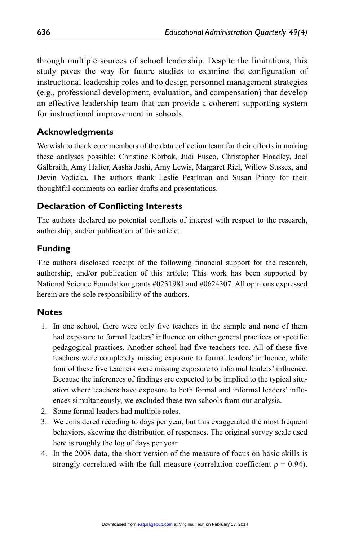through multiple sources of school leadership. Despite the limitations, this study paves the way for future studies to examine the configuration of instructional leadership roles and to design personnel management strategies (e.g., professional development, evaluation, and compensation) that develop an effective leadership team that can provide a coherent supporting system for instructional improvement in schools.

#### **Acknowledgments**

We wish to thank core members of the data collection team for their efforts in making these analyses possible: Christine Korbak, Judi Fusco, Christopher Hoadley, Joel Galbraith, Amy Hafter, Aasha Joshi, Amy Lewis, Margaret Riel, Willow Sussex, and Devin Vodicka. The authors thank Leslie Pearlman and Susan Printy for their thoughtful comments on earlier drafts and presentations.

#### **Declaration of Conflicting Interests**

The authors declared no potential conflicts of interest with respect to the research, authorship, and/or publication of this article.

## **Funding**

The authors disclosed receipt of the following financial support for the research, authorship, and/or publication of this article: This work has been supported by National Science Foundation grants #0231981 and #0624307. All opinions expressed herein are the sole responsibility of the authors.

## **Notes**

- 1. In one school, there were only five teachers in the sample and none of them had exposure to formal leaders' influence on either general practices or specific pedagogical practices. Another school had five teachers too. All of these five teachers were completely missing exposure to formal leaders' influence, while four of these five teachers were missing exposure to informal leaders' influence. Because the inferences of findings are expected to be implied to the typical situation where teachers have exposure to both formal and informal leaders' influences simultaneously, we excluded these two schools from our analysis.
- 2. Some formal leaders had multiple roles.
- 3. We considered recoding to days per year, but this exaggerated the most frequent behaviors, skewing the distribution of responses. The original survey scale used here is roughly the log of days per year.
- 4. In the 2008 data, the short version of the measure of focus on basic skills is strongly correlated with the full measure (correlation coefficient  $\rho = 0.94$ ).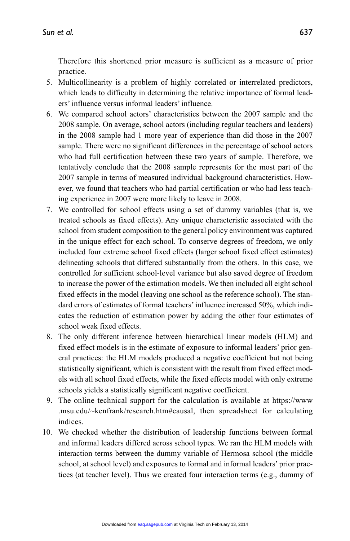Therefore this shortened prior measure is sufficient as a measure of prior practice.

- 5. Multicollinearity is a problem of highly correlated or interrelated predictors, which leads to difficulty in determining the relative importance of formal leaders' influence versus informal leaders' influence.
- 6. We compared school actors' characteristics between the 2007 sample and the 2008 sample. On average, school actors (including regular teachers and leaders) in the 2008 sample had 1 more year of experience than did those in the 2007 sample. There were no significant differences in the percentage of school actors who had full certification between these two years of sample. Therefore, we tentatively conclude that the 2008 sample represents for the most part of the 2007 sample in terms of measured individual background characteristics. However, we found that teachers who had partial certification or who had less teaching experience in 2007 were more likely to leave in 2008.
- 7. We controlled for school effects using a set of dummy variables (that is, we treated schools as fixed effects). Any unique characteristic associated with the school from student composition to the general policy environment was captured in the unique effect for each school. To conserve degrees of freedom, we only included four extreme school fixed effects (larger school fixed effect estimates) delineating schools that differed substantially from the others. In this case, we controlled for sufficient school-level variance but also saved degree of freedom to increase the power of the estimation models. We then included all eight school fixed effects in the model (leaving one school as the reference school). The standard errors of estimates of formal teachers' influence increased 50%, which indicates the reduction of estimation power by adding the other four estimates of school weak fixed effects.
- 8. The only different inference between hierarchical linear models (HLM) and fixed effect models is in the estimate of exposure to informal leaders' prior general practices: the HLM models produced a negative coefficient but not being statistically significant, which is consistent with the result from fixed effect models with all school fixed effects, while the fixed effects model with only extreme schools yields a statistically significant negative coefficient.
- 9. The online technical support for the calculation is available at https://www .msu.edu/~kenfrank/research.htm#causal, then spreadsheet for calculating indices.
- 10. We checked whether the distribution of leadership functions between formal and informal leaders differed across school types. We ran the HLM models with interaction terms between the dummy variable of Hermosa school (the middle school, at school level) and exposures to formal and informal leaders' prior practices (at teacher level). Thus we created four interaction terms (e.g., dummy of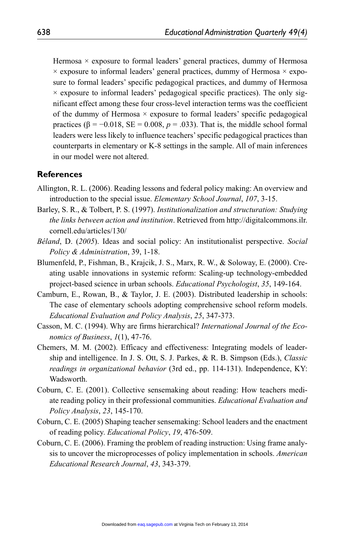Hermosa  $\times$  exposure to formal leaders' general practices, dummy of Hermosa  $\times$  exposure to informal leaders' general practices, dummy of Hermosa  $\times$  exposure to formal leaders' specific pedagogical practices, and dummy of Hermosa  $\times$  exposure to informal leaders' pedagogical specific practices). The only significant effect among these four cross-level interaction terms was the coefficient of the dummy of Hermosa  $\times$  exposure to formal leaders' specific pedagogical practices (β = −0.018, SE = 0.008, *p* = .033). That is, the middle school formal leaders were less likely to influence teachers' specific pedagogical practices than counterparts in elementary or K-8 settings in the sample. All of main inferences in our model were not altered.

#### **References**

- Allington, R. L. (2006). Reading lessons and federal policy making: An overview and introduction to the special issue. *Elementary School Journal*, *107*, 3-15.
- Barley, S. R., & Tolbert, P. S. (1997). *Institutionalization and structuration: Studying the links between action and institution*. Retrieved from http://digitalcommons.ilr. cornell.edu/articles/130/
- *Béland*, D. (*2005*). Ideas and social policy: An institutionalist perspective. *Social Policy & Administration*, 39, 1-18.
- Blumenfeld, P., Fishman, B., Krajcik, J. S., Marx, R. W., & Soloway, E. (2000). Creating usable innovations in systemic reform: Scaling-up technology-embedded project-based science in urban schools. *Educational Psychologist*, *35*, 149-164.
- Camburn, E., Rowan, B., & Taylor, J. E. (2003). Distributed leadership in schools: The case of elementary schools adopting comprehensive school reform models. *Educational Evaluation and Policy Analysis*, *25*, 347-373.
- Casson, M. C. (1994). Why are firms hierarchical? *International Journal of the Economics of Business*, *1*(1), 47-76.
- Chemers, M. M. (2002). Efficacy and effectiveness: Integrating models of leadership and intelligence. In J. S. Ott, S. J. Parkes, & R. B. Simpson (Eds.), *Classic readings in organizational behavior* (3rd ed., pp. 114-131). Independence, KY: Wadsworth.
- Coburn, C. E. (2001). Collective sensemaking about reading: How teachers mediate reading policy in their professional communities. *Educational Evaluation and Policy Analysis*, *23*, 145-170.
- Coburn, C. E. (2005) Shaping teacher sensemaking: School leaders and the enactment of reading policy. *Educational Policy*, *19*, 476-509.
- Coburn, C. E. (2006). Framing the problem of reading instruction: Using frame analysis to uncover the microprocesses of policy implementation in schools. *American Educational Research Journal*, *43*, 343-379.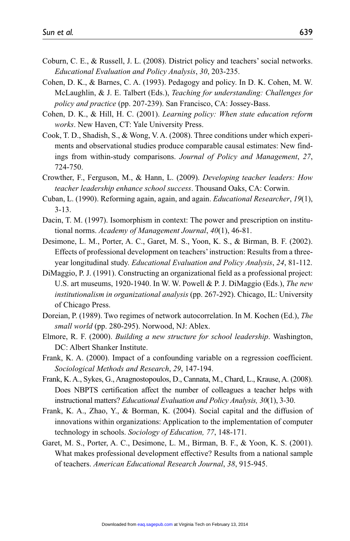- Coburn, C. E., & Russell, J. L. (2008). District policy and teachers' social networks. *Educational Evaluation and Policy Analysis*, *30*, 203-235.
- Cohen, D. K., & Barnes, C. A. (1993). Pedagogy and policy. In D. K. Cohen, M. W. McLaughlin, & J. E. Talbert (Eds.), *Teaching for understanding: Challenges for policy and practice* (pp. 207-239). San Francisco, CA: Jossey-Bass.
- Cohen, D. K., & Hill, H. C. (2001). *Learning policy: When state education reform works*. New Haven, CT: Yale University Press.
- Cook, T. D., Shadish, S., & Wong, V. A. (2008). Three conditions under which experiments and observational studies produce comparable causal estimates: New findings from within-study comparisons. *Journal of Policy and Management*, *27*, 724-750.
- Crowther, F., Ferguson, M., & Hann, L. (2009). *Developing teacher leaders: How teacher leadership enhance school success*. Thousand Oaks, CA: Corwin.
- Cuban, L. (1990). Reforming again, again, and again. *Educational Researcher*, *19*(1), 3-13.
- Dacin, T. M. (1997). Isomorphism in context: The power and prescription on institutional norms. *Academy of Management Journal*, *40*(1), 46-81.
- Desimone, L. M., Porter, A. C., Garet, M. S., Yoon, K. S., & Birman, B. F. (2002). Effects of professional development on teachers' instruction: Results from a threeyear longitudinal study. *Educational Evaluation and Policy Analysis*, *24*, 81-112.
- DiMaggio, P. J. (1991). Constructing an organizational field as a professional project: U.S. art museums, 1920-1940. In W. W. Powell & P. J. DiMaggio (Eds.), *The new institutionalism in organizational analysis* (pp. 267-292). Chicago, IL: University of Chicago Press.
- Doreian, P. (1989). Two regimes of network autocorrelation. In M. Kochen (Ed.), *The small world* (pp. 280-295). Norwood, NJ: Ablex.
- Elmore, R. F. (2000). *Building a new structure for school leadership*. Washington, DC: Albert Shanker Institute.
- Frank, K. A. (2000). Impact of a confounding variable on a regression coefficient. *Sociological Methods and Research*, *29*, 147-194.
- Frank, K. A., Sykes, G., Anagnostopoulos, D., Cannata, M., Chard, L., Krause, A. (2008). Does NBPTS certification affect the number of colleagues a teacher helps with instructional matters? *Educational Evaluation and Policy Analysis, 30*(1), 3-30.
- Frank, K. A., Zhao, Y., & Borman, K. (2004). Social capital and the diffusion of innovations within organizations: Application to the implementation of computer technology in schools. *Sociology of Education, 77*, 148-171.
- Garet, M. S., Porter, A. C., Desimone, L. M., Birman, B. F., & Yoon, K. S. (2001). What makes professional development effective? Results from a national sample of teachers. *American Educational Research Journal*, *38*, 915-945.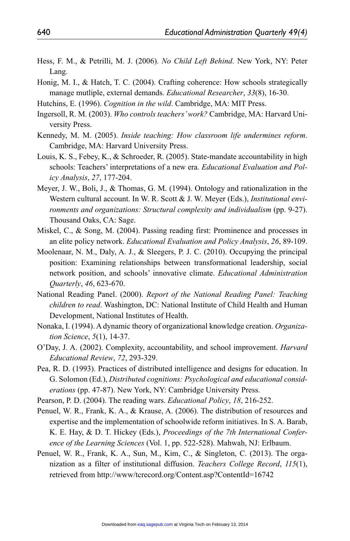- Hess, F. M., & Petrilli, M. J. (2006). *No Child Left Behind*. New York, NY: Peter Lang.
- Honig, M. I., & Hatch, T. C. (2004). Crafting coherence: How schools strategically manage mutliple, external demands. *Educational Researcher*, *33*(8), 16-30.
- Hutchins, E. (1996). *Cognition in the wild*. Cambridge, MA: MIT Press.
- Ingersoll, R. M. (2003). *Who controls teachers' work?* Cambridge, MA: Harvard University Press.
- Kennedy, M. M. (2005). *Inside teaching: How classroom life undermines reform*. Cambridge, MA: Harvard University Press.
- Louis, K. S., Febey, K., & Schroeder, R. (2005). State-mandate accountability in high schools: Teachers' interpretations of a new era. *Educational Evaluation and Policy Analysis*, *27*, 177-204.
- Meyer, J. W., Boli, J., & Thomas, G. M. (1994). Ontology and rationalization in the Western cultural account. In W. R. Scott & J. W. Meyer (Eds.), *Institutional environments and organizations: Structural complexity and individualism* (pp. 9-27). Thousand Oaks, CA: Sage.
- Miskel, C., & Song, M. (2004). Passing reading first: Prominence and processes in an elite policy network. *Educational Evaluation and Policy Analysis*, *26*, 89-109.
- Moolenaar, N. M., Daly, A. J., & Sleegers, P. J. C. (2010). Occupying the principal position: Examining relationships between transformational leadership, social network position, and schools' innovative climate. *Educational Administration Quarterly*, *46*, 623-670.
- National Reading Panel. (2000). *Report of the National Reading Panel: Teaching children to read*. Washington, DC: National Institute of Child Health and Human Development, National Institutes of Health.
- Nonaka, I. (1994). A dynamic theory of organizational knowledge creation. *Organization Science*, *5*(1), 14-37.
- O'Day, J. A. (2002). Complexity, accountability, and school improvement. *Harvard Educational Review*, *72*, 293-329.
- Pea, R. D. (1993). Practices of distributed intelligence and designs for education. In G. Solomon (Ed.), *Distributed cognitions: Psychological and educational considerations* (pp. 47-87). New York, NY: Cambridge University Press.
- Pearson, P. D. (2004). The reading wars. *Educational Policy*, *18*, 216-252.
- Penuel, W. R., Frank, K. A., & Krause, A. (2006). The distribution of resources and expertise and the implementation of schoolwide reform initiatives. In S. A. Barab, K. E. Hay, & D. T. Hickey (Eds.), *Proceedings of the 7th International Conference of the Learning Sciences* (Vol. 1, pp. 522-528). Mahwah, NJ: Erlbaum.
- Penuel, W. R., Frank, K. A., Sun, M., Kim, C., & Singleton, C. (2013). The organization as a filter of institutional diffusion. *Teachers College Record*, *115*(1), retrieved from http://www/tcrecord.org/Content.asp?ContentId=16742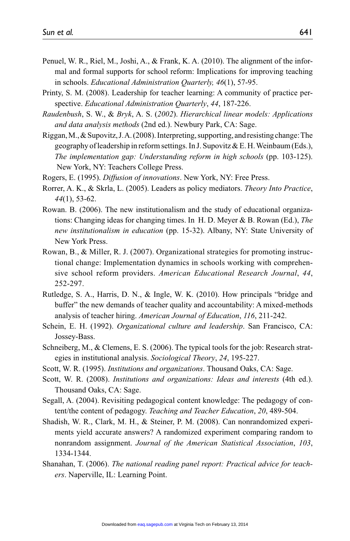- Penuel, W. R., Riel, M., Joshi, A., & Frank, K. A. (2010). The alignment of the informal and formal supports for school reform: Implications for improving teaching in schools. *Educational Administration Quarterly, 46*(1), 57-95.
- Printy, S. M. (2008). Leadership for teacher learning: A community of practice perspective. *Educational Administration Quarterly*, *44*, 187-226.
- *Raudenbush*, S. W., & *Bryk*, A. S. (*2002*). *Hierarchical linear models: Applications and data analysis methods* (2nd ed.). Newbury Park, CA: Sage.
- Riggan, M., & Supovitz, J. A. (2008). Interpreting, supporting, and resisting change: The geography of leadership in reform settings. In J. Supovitz & E. H. Weinbaum (Eds.), *The implementation gap: Understanding reform in high schools* (pp. 103-125). New York, NY: Teachers College Press.
- Rogers, E. (1995). *Diffusion of innovations*. New York, NY: Free Press.
- Rorrer, A. K., & Skrla, L. (2005). Leaders as policy mediators. *Theory Into Practice*, *44*(1), 53-62.
- Rowan. B. (2006). The new institutionalism and the study of educational organizations: Changing ideas for changing times. In H. D. Meyer & B. Rowan (Ed.), *The new institutionalism in education* (pp. 15-32). Albany, NY: State University of New York Press.
- Rowan, B., & Miller, R. J. (2007). Organizational strategies for promoting instructional change: Implementation dynamics in schools working with comprehensive school reform providers. *American Educational Research Journal*, *44*, 252-297.
- Rutledge, S. A., Harris, D. N., & Ingle, W. K. (2010). How principals "bridge and buffer" the new demands of teacher quality and accountability: A mixed-methods analysis of teacher hiring. *American Journal of Education*, *116*, 211-242.
- Schein, E. H. (1992). *Organizational culture and leadership*. San Francisco, CA: Jossey-Bass.
- Schneiberg, M., & Clemens, E. S. (2006). The typical tools for the job: Research strategies in institutional analysis. *Sociological Theory*, *24*, 195-227.
- Scott, W. R. (1995). *Institutions and organizations*. Thousand Oaks, CA: Sage.
- Scott, W. R. (2008). *Institutions and organizations: Ideas and interests* (4th ed.). Thousand Oaks, CA: Sage.
- Segall, A. (2004). Revisiting pedagogical content knowledge: The pedagogy of content/the content of pedagogy. *Teaching and Teacher Education*, *20*, 489-504.
- Shadish, W. R., Clark, M. H., & Steiner, P. M. (2008). Can nonrandomized experiments yield accurate answers? A randomized experiment comparing random to nonrandom assignment. *Journal of the American Statistical Association*, *103*, 1334-1344.
- Shanahan, T. (2006). *The national reading panel report: Practical advice for teachers*. Naperville, IL: Learning Point.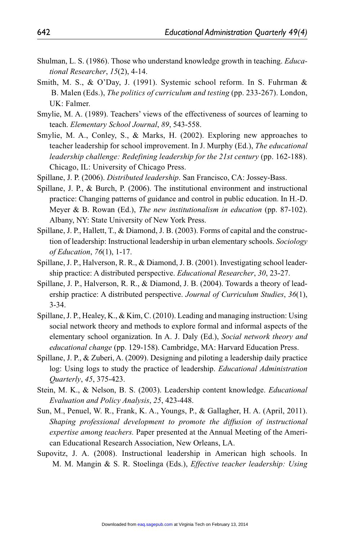- Shulman, L. S. (1986). Those who understand knowledge growth in teaching. *Educational Researcher*, *15*(2), 4-14.
- Smith, M. S., & O'Day, J. (1991). Systemic school reform. In S. Fuhrman & B. Malen (Eds.), *The politics of curriculum and testing* (pp. 233-267). London, UK: Falmer.
- Smylie, M. A. (1989). Teachers' views of the effectiveness of sources of learning to teach. *Elementary School Journal*, *89*, 543-558.
- Smylie, M. A., Conley, S., & Marks, H. (2002). Exploring new approaches to teacher leadership for school improvement. In J. Murphy (Ed.), *The educational leadership challenge: Redefining leadership for the 21st century* (pp. 162-188). Chicago, IL: University of Chicago Press.
- Spillane, J. P. (2006). *Distributed leadership*. San Francisco, CA: Jossey-Bass.
- Spillane, J. P., & Burch, P. (2006). The institutional environment and instructional practice: Changing patterns of guidance and control in public education. In H.-D. Meyer & B. Rowan (Ed.), *The new institutionalism in education* (pp. 87-102). Albany, NY: State University of New York Press.
- Spillane, J. P., Hallett, T., & Diamond, J. B. (2003). Forms of capital and the construction of leadership: Instructional leadership in urban elementary schools. *Sociology of Education*, *76*(1), 1-17.
- Spillane, J. P., Halverson, R. R., & Diamond, J. B. (2001). Investigating school leadership practice: A distributed perspective. *Educational Researcher*, *30*, 23-27.
- Spillane, J. P., Halverson, R. R., & Diamond, J. B. (2004). Towards a theory of leadership practice: A distributed perspective. *Journal of Curriculum Studies*, *36*(1), 3-34.
- Spillane, J. P., Healey, K., & Kim, C. (2010). Leading and managing instruction: Using social network theory and methods to explore formal and informal aspects of the elementary school organization. In A. J. Daly (Ed.), *Social network theory and educational change* (pp. 129-158). Cambridge, MA: Harvard Education Press.
- Spillane, J. P., & Zuberi, A. (2009). Designing and piloting a leadership daily practice log: Using logs to study the practice of leadership. *Educational Administration Quarterly*, *45*, 375-423.
- Stein, M. K., & Nelson, B. S. (2003). Leadership content knowledge. *Educational Evaluation and Policy Analysis*, *25*, 423-448.
- Sun, M., Penuel, W. R., Frank, K. A., Youngs, P., & Gallagher, H. A. (April, 2011). *Shaping professional development to promote the diffusion of instructional expertise among teachers.* Paper presented at the Annual Meeting of the American Educational Research Association, New Orleans, LA.
- Supovitz, J. A. (2008). Instructional leadership in American high schools. In M. M. Mangin & S. R. Stoelinga (Eds.), *Effective teacher leadership: Using*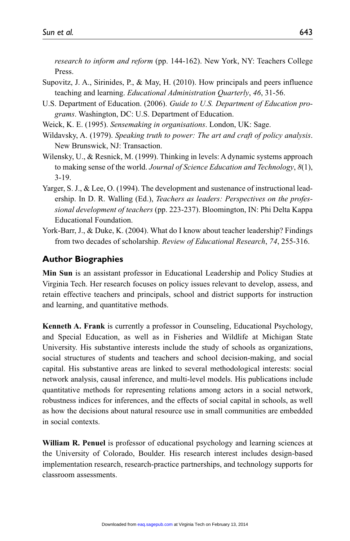*research to inform and reform* (pp. 144-162). New York, NY: Teachers College Press.

- Supovitz, J. A., Sirinides, P., & May, H. (2010). How principals and peers influence teaching and learning. *Educational Administration Quarterly*, *46*, 31-56.
- U.S. Department of Education. (2006). *Guide to U.S. Department of Education programs*. Washington, DC: U.S. Department of Education.
- Weick, K. E. (1995). *Sensemaking in organisations*. London, UK: Sage.
- Wildavsky, A. (1979). *Speaking truth to power: The art and craft of policy analysis*. New Brunswick, NJ: Transaction.
- Wilensky, U., & Resnick, M. (1999). Thinking in levels: A dynamic systems approach to making sense of the world. *Journal of Science Education and Technology*, *8*(1), 3-19.
- Yarger, S. J., & Lee, O. (1994). The development and sustenance of instructional leadership. In D. R. Walling (Ed.), *Teachers as leaders: Perspectives on the professional development of teachers* (pp. 223-237). Bloomington, IN: Phi Delta Kappa Educational Foundation.
- York-Barr, J., & Duke, K. (2004). What do I know about teacher leadership? Findings from two decades of scholarship. *Review of Educational Research*, *74*, 255-316.

#### **Author Biographies**

**Min Sun** is an assistant professor in Educational Leadership and Policy Studies at Virginia Tech. Her research focuses on policy issues relevant to develop, assess, and retain effective teachers and principals, school and district supports for instruction and learning, and quantitative methods.

**Kenneth A. Frank** is currently a professor in Counseling, Educational Psychology, and Special Education, as well as in Fisheries and Wildlife at Michigan State University. His substantive interests include the study of schools as organizations, social structures of students and teachers and school decision-making, and social capital. His substantive areas are linked to several methodological interests: social network analysis, causal inference, and multi-level models. His publications include quantitative methods for representing relations among actors in a social network, robustness indices for inferences, and the effects of social capital in schools, as well as how the decisions about natural resource use in small communities are embedded in social contexts.

**William R. Penuel** is professor of educational psychology and learning sciences at the University of Colorado, Boulder. His research interest includes design-based implementation research, research-practice partnerships, and technology supports for classroom assessments.